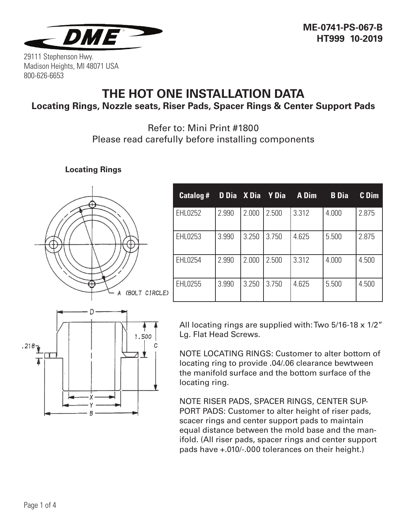

## **THE HOT ONE INSTALLATION DATA Locating Rings, Nozzle seats, Riser Pads, Spacer Rings & Center Support Pads**

## Refer to: Mini Print #1800 Please read carefully before installing components

**Locating Rings**



| <b>Catalog #</b> |       |       | D Dia X Dia Y Dia | A Dim | <b>B</b> Dia | C Dim |
|------------------|-------|-------|-------------------|-------|--------------|-------|
| <b>EHL0252</b>   | 2.990 | 2.000 | 2.500             | 3.312 | 4.000        | 2.875 |
| EHL0253          | 3.990 | 3.250 | 3.750             | 4.625 | 5.500        | 2.875 |
| EHL0254          | 2.990 | 2.000 | 2.500             | 3.312 | 4.000        | 4.500 |
| EHL0255          | 3.990 | 3.250 | 3.750             | 4.625 | 5.500        | 4.500 |



All locating rings are supplied with: Two 5/16-18 x 1/2" Lg. Flat Head Screws.

NOTE LOCATING RINGS: Customer to alter bottom of locating ring to provide .04/.06 clearance bewtween the manifold surface and the bottom surface of the locating ring.

NOTE RISER PADS, SPACER RINGS, CENTER SUP-PORT PADS: Customer to alter height of riser pads, scacer rings and center support pads to maintain equal distance between the mold base and the manifold. (All riser pads, spacer rings and center support pads have +.010/-.000 tolerances on their height.)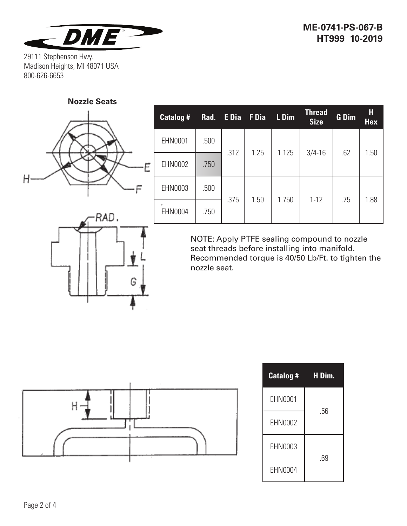

**Nozzle Seats**



RAD.

| Catalog # | Rad. | E Dia | F Dia | L Dim | <b>Thread</b><br><b>Size</b> | G Dim | Н<br><b>Hex</b> |
|-----------|------|-------|-------|-------|------------------------------|-------|-----------------|
| EHN0001   | .500 | .312  | 1.25  | 1.125 | $3/4 - 16$                   | .62   | 1.50            |
| EHN0002   | .750 |       |       |       |                              |       |                 |
| EHN0003   | .500 | .375  | 1.50  | 1.750 | $1 - 12$                     | .75   | 1.88            |
| EHN0004   | .750 |       |       |       |                              |       |                 |

NOTE: Apply PTFE sealing compound to nozzle seat threads before installing into manifold. Recommended torque is 40/50 Lb/Ft. to tighten the nozzle seat.



G

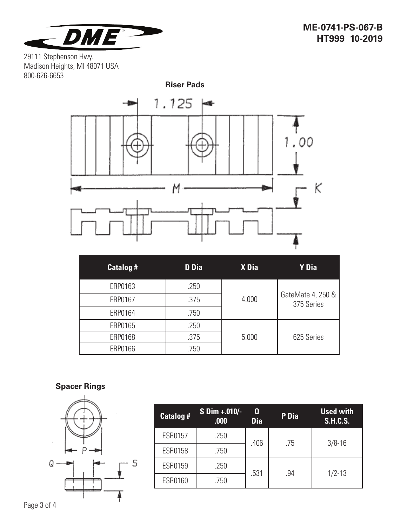



| <b>Catalog#</b> | <b>D</b> Dia | X Dia | Y Dia                           |
|-----------------|--------------|-------|---------------------------------|
| ERP0163         | .250         |       |                                 |
| ERP0167         | .375         | 4.000 | GateMate 4, 250 &<br>375 Series |
| ERP0164         | .750         |       |                                 |
| ERP0165         | .250         |       |                                 |
| ERP0168         | .375         | 5.000 | 625 Series                      |
| ERP0166         | .750         |       |                                 |

## **Spacer Rings**



| <b>Catalog #</b> | S Dim +.010/-<br>.000 | Q<br><b>Dia</b> | P Dia | <b>Used with</b><br><b>S.H.C.S.</b> |  |
|------------------|-----------------------|-----------------|-------|-------------------------------------|--|
| <b>ESR0157</b>   | .250                  | .406            | .75   | $3/8 - 16$                          |  |
| ESR0158          | .750                  |                 |       |                                     |  |
| ESR0159          | .250                  | .531            | .94   | $1/2 - 13$                          |  |
| ESR0160          | .750                  |                 |       |                                     |  |